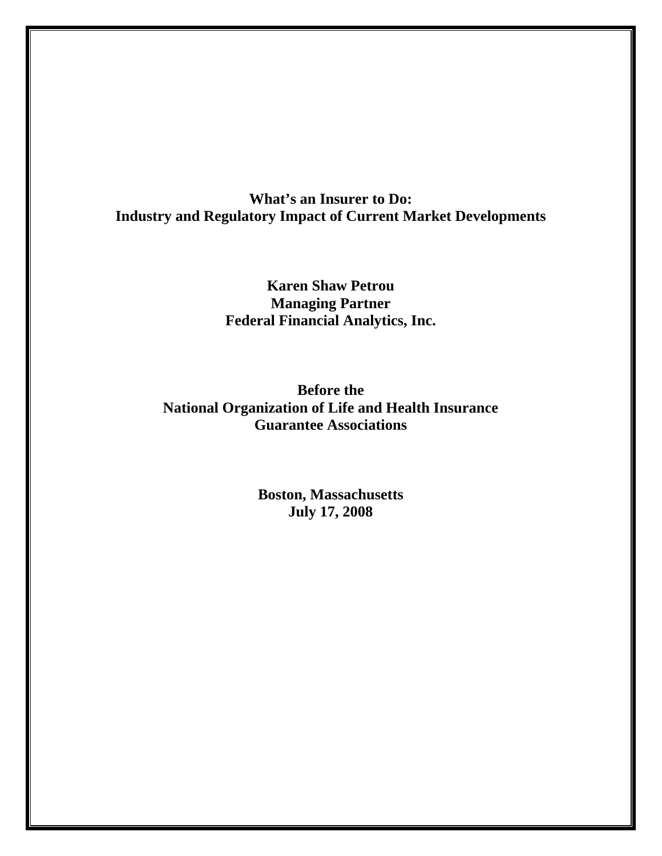# **What's an Insurer to Do: Industry and Regulatory Impact of Current Market Developments**

**Karen Shaw Petrou Managing Partner Federal Financial Analytics, Inc.** 

**Before the National Organization of Life and Health Insurance Guarantee Associations** 

> **Boston, Massachusetts July 17, 2008**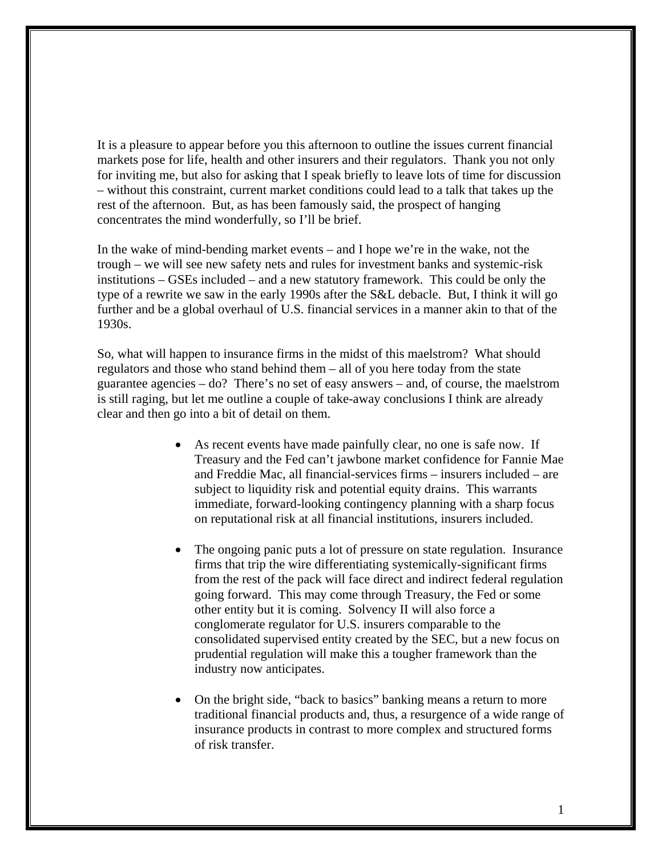It is a pleasure to appear before you this afternoon to outline the issues current financial markets pose for life, health and other insurers and their regulators. Thank you not only for inviting me, but also for asking that I speak briefly to leave lots of time for discussion – without this constraint, current market conditions could lead to a talk that takes up the rest of the afternoon. But, as has been famously said, the prospect of hanging concentrates the mind wonderfully, so I'll be brief.

In the wake of mind-bending market events – and I hope we're in the wake, not the trough – we will see new safety nets and rules for investment banks and systemic-risk institutions – GSEs included – and a new statutory framework. This could be only the type of a rewrite we saw in the early 1990s after the S&L debacle. But, I think it will go further and be a global overhaul of U.S. financial services in a manner akin to that of the 1930s.

So, what will happen to insurance firms in the midst of this maelstrom? What should regulators and those who stand behind them – all of you here today from the state guarantee agencies – do? There's no set of easy answers – and, of course, the maelstrom is still raging, but let me outline a couple of take-away conclusions I think are already clear and then go into a bit of detail on them.

- As recent events have made painfully clear, no one is safe now. If Treasury and the Fed can't jawbone market confidence for Fannie Mae and Freddie Mac, all financial-services firms – insurers included – are subject to liquidity risk and potential equity drains. This warrants immediate, forward-looking contingency planning with a sharp focus on reputational risk at all financial institutions, insurers included.
- The ongoing panic puts a lot of pressure on state regulation. Insurance firms that trip the wire differentiating systemically-significant firms from the rest of the pack will face direct and indirect federal regulation going forward. This may come through Treasury, the Fed or some other entity but it is coming. Solvency II will also force a conglomerate regulator for U.S. insurers comparable to the consolidated supervised entity created by the SEC, but a new focus on prudential regulation will make this a tougher framework than the industry now anticipates.
- On the bright side, "back to basics" banking means a return to more traditional financial products and, thus, a resurgence of a wide range of insurance products in contrast to more complex and structured forms of risk transfer.

1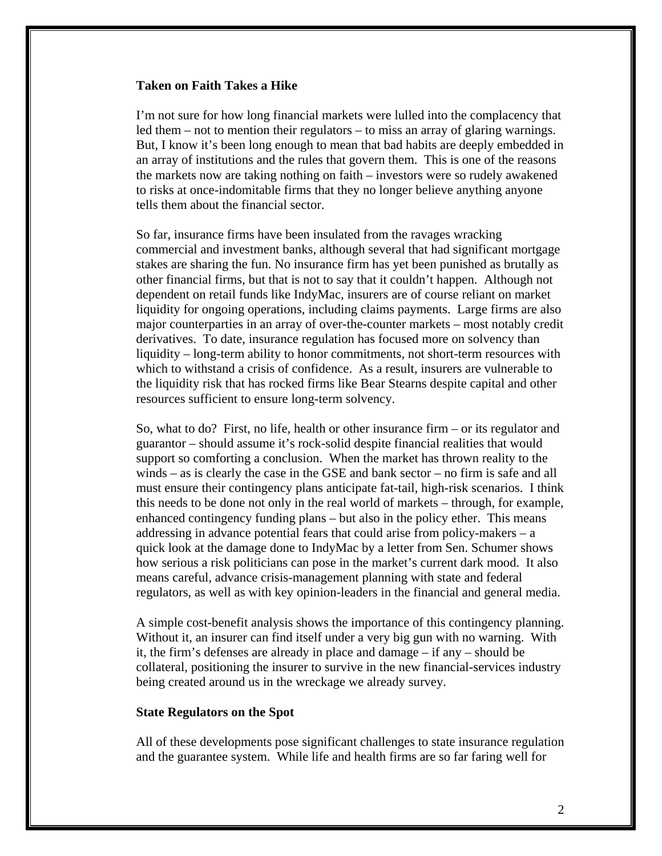#### **Taken on Faith Takes a Hike**

I'm not sure for how long financial markets were lulled into the complacency that led them – not to mention their regulators – to miss an array of glaring warnings. But, I know it's been long enough to mean that bad habits are deeply embedded in an array of institutions and the rules that govern them. This is one of the reasons the markets now are taking nothing on faith – investors were so rudely awakened to risks at once-indomitable firms that they no longer believe anything anyone tells them about the financial sector.

So far, insurance firms have been insulated from the ravages wracking commercial and investment banks, although several that had significant mortgage stakes are sharing the fun. No insurance firm has yet been punished as brutally as other financial firms, but that is not to say that it couldn't happen. Although not dependent on retail funds like IndyMac, insurers are of course reliant on market liquidity for ongoing operations, including claims payments. Large firms are also major counterparties in an array of over-the-counter markets – most notably credit derivatives. To date, insurance regulation has focused more on solvency than liquidity – long-term ability to honor commitments, not short-term resources with which to withstand a crisis of confidence. As a result, insurers are vulnerable to the liquidity risk that has rocked firms like Bear Stearns despite capital and other resources sufficient to ensure long-term solvency.

So, what to do? First, no life, health or other insurance firm – or its regulator and guarantor – should assume it's rock-solid despite financial realities that would support so comforting a conclusion. When the market has thrown reality to the winds – as is clearly the case in the GSE and bank sector – no firm is safe and all must ensure their contingency plans anticipate fat-tail, high-risk scenarios. I think this needs to be done not only in the real world of markets – through, for example, enhanced contingency funding plans – but also in the policy ether. This means addressing in advance potential fears that could arise from policy-makers – a quick look at the damage done to IndyMac by a letter from Sen. Schumer shows how serious a risk politicians can pose in the market's current dark mood. It also means careful, advance crisis-management planning with state and federal regulators, as well as with key opinion-leaders in the financial and general media.

A simple cost-benefit analysis shows the importance of this contingency planning. Without it, an insurer can find itself under a very big gun with no warning. With it, the firm's defenses are already in place and damage – if any – should be collateral, positioning the insurer to survive in the new financial-services industry being created around us in the wreckage we already survey.

## **State Regulators on the Spot**

All of these developments pose significant challenges to state insurance regulation and the guarantee system. While life and health firms are so far faring well for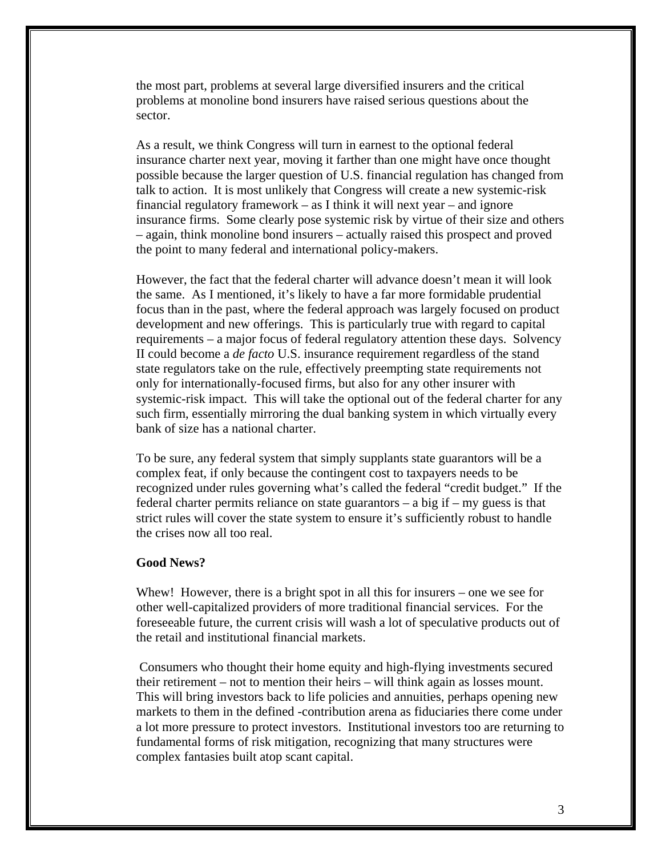the most part, problems at several large diversified insurers and the critical problems at monoline bond insurers have raised serious questions about the sector.

As a result, we think Congress will turn in earnest to the optional federal insurance charter next year, moving it farther than one might have once thought possible because the larger question of U.S. financial regulation has changed from talk to action. It is most unlikely that Congress will create a new systemic-risk financial regulatory framework – as I think it will next year – and ignore insurance firms. Some clearly pose systemic risk by virtue of their size and others – again, think monoline bond insurers – actually raised this prospect and proved the point to many federal and international policy-makers.

However, the fact that the federal charter will advance doesn't mean it will look the same. As I mentioned, it's likely to have a far more formidable prudential focus than in the past, where the federal approach was largely focused on product development and new offerings. This is particularly true with regard to capital requirements – a major focus of federal regulatory attention these days. Solvency II could become a *de facto* U.S. insurance requirement regardless of the stand state regulators take on the rule, effectively preempting state requirements not only for internationally-focused firms, but also for any other insurer with systemic-risk impact. This will take the optional out of the federal charter for any such firm, essentially mirroring the dual banking system in which virtually every bank of size has a national charter.

To be sure, any federal system that simply supplants state guarantors will be a complex feat, if only because the contingent cost to taxpayers needs to be recognized under rules governing what's called the federal "credit budget." If the federal charter permits reliance on state guarantors – a big if – my guess is that strict rules will cover the state system to ensure it's sufficiently robust to handle the crises now all too real.

#### **Good News?**

Whew! However, there is a bright spot in all this for insurers – one we see for other well-capitalized providers of more traditional financial services. For the foreseeable future, the current crisis will wash a lot of speculative products out of the retail and institutional financial markets.

 Consumers who thought their home equity and high-flying investments secured their retirement – not to mention their heirs – will think again as losses mount. This will bring investors back to life policies and annuities, perhaps opening new markets to them in the defined -contribution arena as fiduciaries there come under a lot more pressure to protect investors. Institutional investors too are returning to fundamental forms of risk mitigation, recognizing that many structures were complex fantasies built atop scant capital.